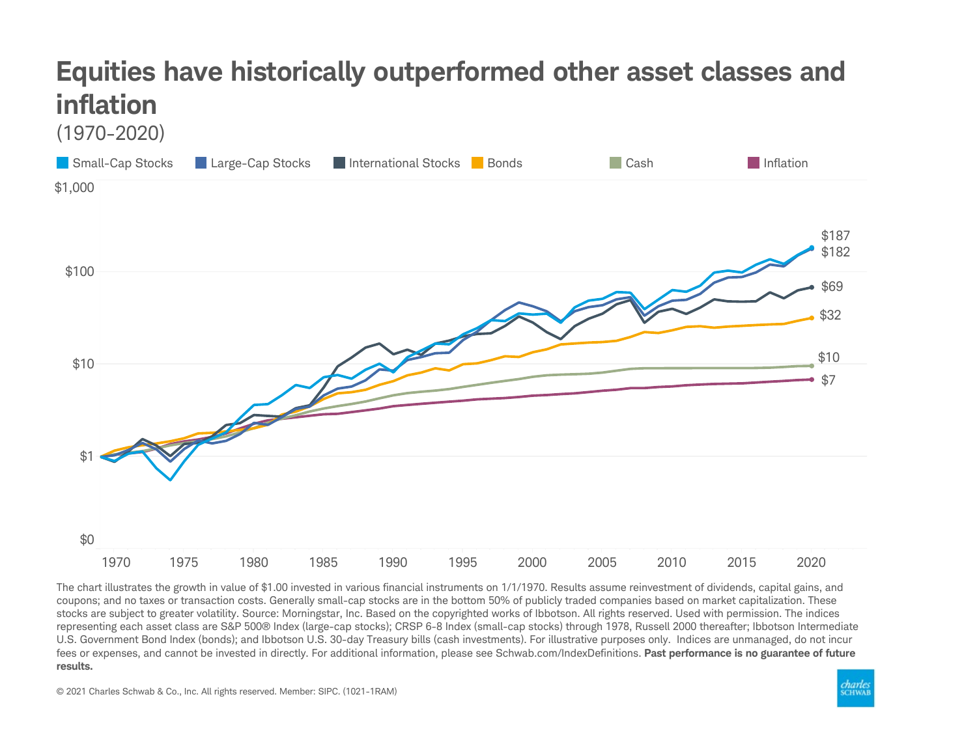## Equities have historically outperformed other asset classes and inflation





The chart illustrates the growth in value of \$1.00 invested in various financial instruments on 1/1/1970. Results assume reinvestment of dividends, capital gains, and coupons; and no taxes or transaction costs. Generally small-cap stocks are in the bottom 50% of publicly traded companies based on market capitalization. These stocks are subject to greater volatility. Source: Morningstar, Inc. Based on the copyrighted works of Ibbotson. All rights reserved. Used with permission. The indices representing each asset class are S&P 500® Index (large-cap stocks); CRSP 6-8 Index (small-cap stocks) through 1978, Russell 2000 thereafter; Ibbotson Intermediate U.S. Government Bond Index (bonds); and Ibbotson U.S. 30-day Treasury bills (cash investments). For illustrative purposes only. Indices are unmanaged, do not incur fees or expenses, and cannot be invested in directly. For additional information, please see Schwab.com/IndexDefinitions. Past performance is no guarantee of future results.